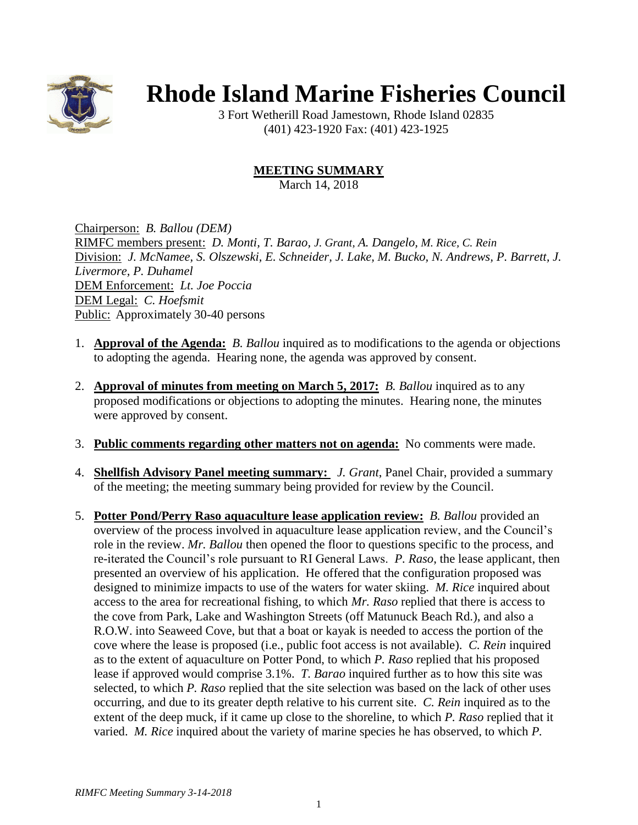

## **Rhode Island Marine Fisheries Council**

3 Fort Wetherill Road Jamestown, Rhode Island 02835 (401) 423-1920 Fax: (401) 423-1925

## **MEETING SUMMARY**

March 14, 2018

Chairperson: *B. Ballou (DEM)* RIMFC members present: *D. Monti, T. Barao, J. Grant, A. Dangelo, M. Rice, C. Rein* Division: *J. McNamee, S. Olszewski, E. Schneider, J. Lake, M. Bucko, N. Andrews, P. Barrett, J. Livermore, P. Duhamel* DEM Enforcement: *Lt. Joe Poccia* DEM Legal: *C. Hoefsmit* Public: Approximately 30-40 persons

- 1. **Approval of the Agenda:** *B. Ballou* inquired as to modifications to the agenda or objections to adopting the agenda. Hearing none, the agenda was approved by consent.
- 2. **Approval of minutes from meeting on March 5, 2017:** *B. Ballou* inquired as to any proposed modifications or objections to adopting the minutes. Hearing none, the minutes were approved by consent.
- 3. **Public comments regarding other matters not on agenda:** No comments were made.
- 4. **Shellfish Advisory Panel meeting summary:** *J. Grant*, Panel Chair, provided a summary of the meeting; the meeting summary being provided for review by the Council.
- 5. **Potter Pond/Perry Raso aquaculture lease application review:** *B. Ballou* provided an overview of the process involved in aquaculture lease application review, and the Council's role in the review. *Mr. Ballou* then opened the floor to questions specific to the process, and re-iterated the Council's role pursuant to RI General Laws. *P. Raso*, the lease applicant, then presented an overview of his application. He offered that the configuration proposed was designed to minimize impacts to use of the waters for water skiing. *M. Rice* inquired about access to the area for recreational fishing, to which *Mr. Raso* replied that there is access to the cove from Park, Lake and Washington Streets (off Matunuck Beach Rd.), and also a R.O.W. into Seaweed Cove, but that a boat or kayak is needed to access the portion of the cove where the lease is proposed (i.e., public foot access is not available). *C. Rein* inquired as to the extent of aquaculture on Potter Pond, to which *P. Raso* replied that his proposed lease if approved would comprise 3.1%. *T. Barao* inquired further as to how this site was selected, to which *P. Raso* replied that the site selection was based on the lack of other uses occurring, and due to its greater depth relative to his current site. *C. Rein* inquired as to the extent of the deep muck, if it came up close to the shoreline, to which *P. Raso* replied that it varied. *M. Rice* inquired about the variety of marine species he has observed, to which *P.*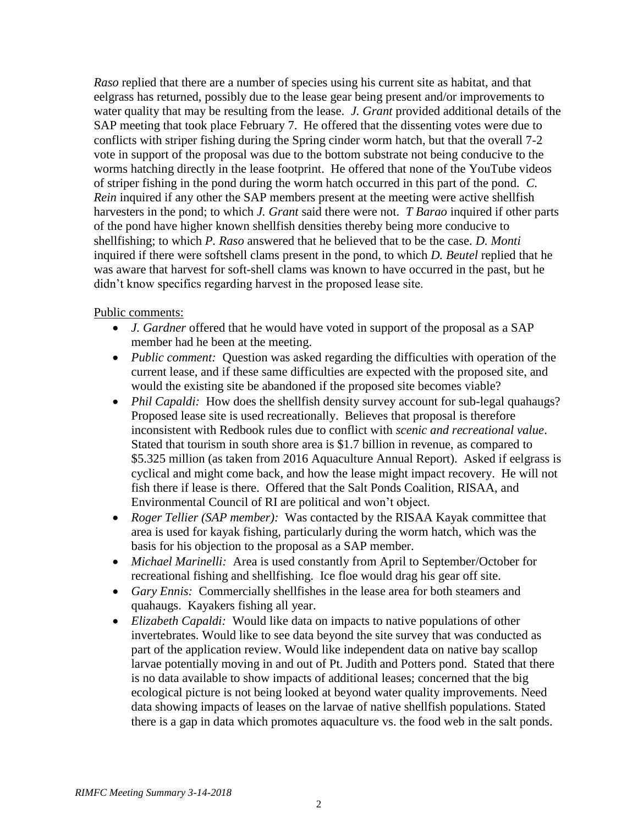*Raso* replied that there are a number of species using his current site as habitat, and that eelgrass has returned, possibly due to the lease gear being present and/or improvements to water quality that may be resulting from the lease. *J. Grant* provided additional details of the SAP meeting that took place February 7. He offered that the dissenting votes were due to conflicts with striper fishing during the Spring cinder worm hatch, but that the overall 7-2 vote in support of the proposal was due to the bottom substrate not being conducive to the worms hatching directly in the lease footprint. He offered that none of the YouTube videos of striper fishing in the pond during the worm hatch occurred in this part of the pond. *C. Rein* inquired if any other the SAP members present at the meeting were active shellfish harvesters in the pond; to which *J. Grant* said there were not. *T Barao* inquired if other parts of the pond have higher known shellfish densities thereby being more conducive to shellfishing; to which *P. Raso* answered that he believed that to be the case. *D. Monti* inquired if there were softshell clams present in the pond, to which *D. Beutel* replied that he was aware that harvest for soft-shell clams was known to have occurred in the past, but he didn't know specifics regarding harvest in the proposed lease site.

## Public comments:

- *J. Gardner* offered that he would have voted in support of the proposal as a SAP member had he been at the meeting.
- *Public comment:* Question was asked regarding the difficulties with operation of the current lease, and if these same difficulties are expected with the proposed site, and would the existing site be abandoned if the proposed site becomes viable?
- *Phil Capaldi:* How does the shellfish density survey account for sub-legal quahaugs? Proposed lease site is used recreationally. Believes that proposal is therefore inconsistent with Redbook rules due to conflict with *scenic and recreational value*. Stated that tourism in south shore area is \$1.7 billion in revenue, as compared to \$5.325 million (as taken from 2016 Aquaculture Annual Report). Asked if eelgrass is cyclical and might come back, and how the lease might impact recovery. He will not fish there if lease is there. Offered that the Salt Ponds Coalition, RISAA, and Environmental Council of RI are political and won't object.
- *Roger Tellier (SAP member):* Was contacted by the RISAA Kayak committee that area is used for kayak fishing, particularly during the worm hatch, which was the basis for his objection to the proposal as a SAP member.
- *Michael Marinelli:* Area is used constantly from April to September/October for recreational fishing and shellfishing. Ice floe would drag his gear off site.
- *Gary Ennis:* Commercially shellfishes in the lease area for both steamers and quahaugs. Kayakers fishing all year.
- *Elizabeth Capaldi:* Would like data on impacts to native populations of other invertebrates. Would like to see data beyond the site survey that was conducted as part of the application review. Would like independent data on native bay scallop larvae potentially moving in and out of Pt. Judith and Potters pond. Stated that there is no data available to show impacts of additional leases; concerned that the big ecological picture is not being looked at beyond water quality improvements. Need data showing impacts of leases on the larvae of native shellfish populations. Stated there is a gap in data which promotes aquaculture vs. the food web in the salt ponds.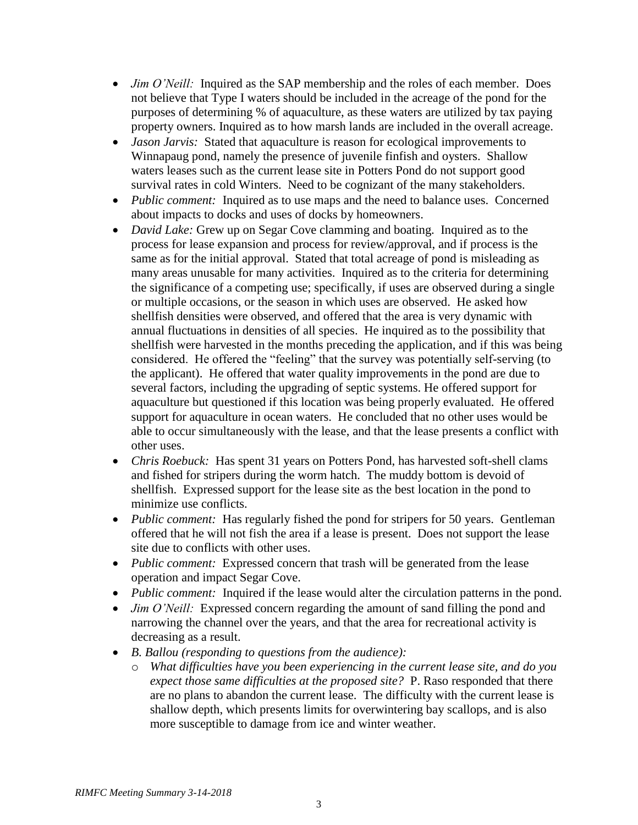- *Jim O'Neill:* Inquired as the SAP membership and the roles of each member. Does not believe that Type I waters should be included in the acreage of the pond for the purposes of determining % of aquaculture, as these waters are utilized by tax paying property owners. Inquired as to how marsh lands are included in the overall acreage.
- *Jason Jarvis:* Stated that aquaculture is reason for ecological improvements to Winnapaug pond, namely the presence of juvenile finfish and oysters. Shallow waters leases such as the current lease site in Potters Pond do not support good survival rates in cold Winters. Need to be cognizant of the many stakeholders.
- *Public comment:* Inquired as to use maps and the need to balance uses. Concerned about impacts to docks and uses of docks by homeowners.
- *David Lake:* Grew up on Segar Cove clamming and boating. Inquired as to the process for lease expansion and process for review/approval, and if process is the same as for the initial approval. Stated that total acreage of pond is misleading as many areas unusable for many activities. Inquired as to the criteria for determining the significance of a competing use; specifically, if uses are observed during a single or multiple occasions, or the season in which uses are observed. He asked how shellfish densities were observed, and offered that the area is very dynamic with annual fluctuations in densities of all species. He inquired as to the possibility that shellfish were harvested in the months preceding the application, and if this was being considered. He offered the "feeling" that the survey was potentially self-serving (to the applicant). He offered that water quality improvements in the pond are due to several factors, including the upgrading of septic systems. He offered support for aquaculture but questioned if this location was being properly evaluated. He offered support for aquaculture in ocean waters. He concluded that no other uses would be able to occur simultaneously with the lease, and that the lease presents a conflict with other uses.
- *Chris Roebuck:* Has spent 31 years on Potters Pond, has harvested soft-shell clams and fished for stripers during the worm hatch. The muddy bottom is devoid of shellfish. Expressed support for the lease site as the best location in the pond to minimize use conflicts.
- *Public comment:* Has regularly fished the pond for stripers for 50 years. Gentleman offered that he will not fish the area if a lease is present. Does not support the lease site due to conflicts with other uses.
- *Public comment:* Expressed concern that trash will be generated from the lease operation and impact Segar Cove.
- *Public comment:* Inquired if the lease would alter the circulation patterns in the pond.
- *Jim O'Neill:* Expressed concern regarding the amount of sand filling the pond and narrowing the channel over the years, and that the area for recreational activity is decreasing as a result.
- *B. Ballou (responding to questions from the audience):*
	- o *What difficulties have you been experiencing in the current lease site, and do you expect those same difficulties at the proposed site?* P. Raso responded that there are no plans to abandon the current lease. The difficulty with the current lease is shallow depth, which presents limits for overwintering bay scallops, and is also more susceptible to damage from ice and winter weather.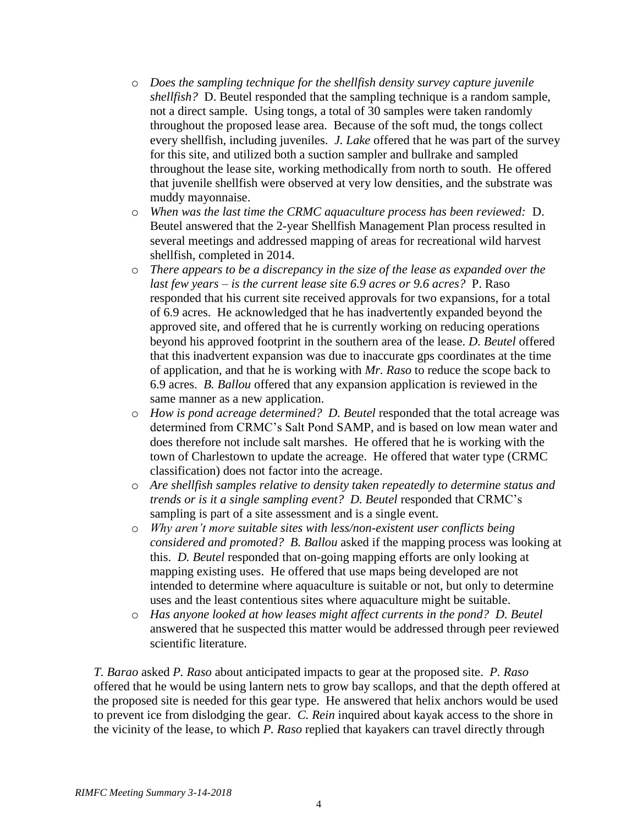- o *Does the sampling technique for the shellfish density survey capture juvenile shellfish?* D. Beutel responded that the sampling technique is a random sample, not a direct sample. Using tongs, a total of 30 samples were taken randomly throughout the proposed lease area. Because of the soft mud, the tongs collect every shellfish, including juveniles. *J. Lake* offered that he was part of the survey for this site, and utilized both a suction sampler and bullrake and sampled throughout the lease site, working methodically from north to south. He offered that juvenile shellfish were observed at very low densities, and the substrate was muddy mayonnaise.
- o *When was the last time the CRMC aquaculture process has been reviewed:* D. Beutel answered that the 2-year Shellfish Management Plan process resulted in several meetings and addressed mapping of areas for recreational wild harvest shellfish, completed in 2014.
- o *There appears to be a discrepancy in the size of the lease as expanded over the last few years – is the current lease site 6.9 acres or 9.6 acres?* P. Raso responded that his current site received approvals for two expansions, for a total of 6.9 acres. He acknowledged that he has inadvertently expanded beyond the approved site, and offered that he is currently working on reducing operations beyond his approved footprint in the southern area of the lease. *D. Beutel* offered that this inadvertent expansion was due to inaccurate gps coordinates at the time of application, and that he is working with *Mr. Raso* to reduce the scope back to 6.9 acres. *B. Ballou* offered that any expansion application is reviewed in the same manner as a new application.
- o *How is pond acreage determined? D. Beutel* responded that the total acreage was determined from CRMC's Salt Pond SAMP, and is based on low mean water and does therefore not include salt marshes. He offered that he is working with the town of Charlestown to update the acreage. He offered that water type (CRMC classification) does not factor into the acreage.
- o *Are shellfish samples relative to density taken repeatedly to determine status and trends or is it a single sampling event? D. Beutel* responded that CRMC's sampling is part of a site assessment and is a single event.
- o *Why aren't more suitable sites with less/non-existent user conflicts being considered and promoted? B. Ballou* asked if the mapping process was looking at this. *D. Beutel* responded that on-going mapping efforts are only looking at mapping existing uses. He offered that use maps being developed are not intended to determine where aquaculture is suitable or not, but only to determine uses and the least contentious sites where aquaculture might be suitable.
- o *Has anyone looked at how leases might affect currents in the pond? D. Beutel* answered that he suspected this matter would be addressed through peer reviewed scientific literature.

*T. Barao* asked *P. Raso* about anticipated impacts to gear at the proposed site. *P. Raso* offered that he would be using lantern nets to grow bay scallops, and that the depth offered at the proposed site is needed for this gear type. He answered that helix anchors would be used to prevent ice from dislodging the gear. *C. Rein* inquired about kayak access to the shore in the vicinity of the lease, to which *P. Raso* replied that kayakers can travel directly through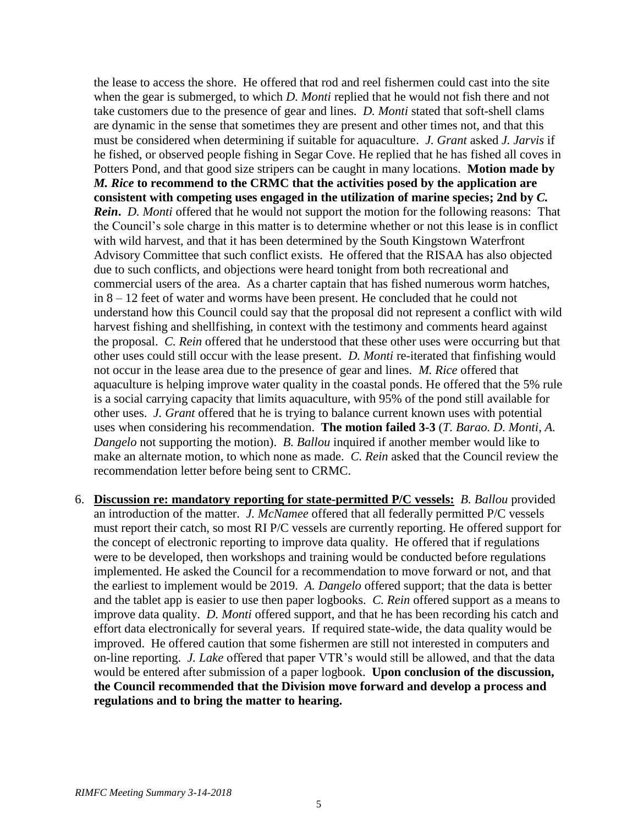the lease to access the shore. He offered that rod and reel fishermen could cast into the site when the gear is submerged, to which *D. Monti* replied that he would not fish there and not take customers due to the presence of gear and lines. *D. Monti* stated that soft-shell clams are dynamic in the sense that sometimes they are present and other times not, and that this must be considered when determining if suitable for aquaculture. *J. Grant* asked *J. Jarvis* if he fished, or observed people fishing in Segar Cove. He replied that he has fished all coves in Potters Pond, and that good size stripers can be caught in many locations. **Motion made by**  *M. Rice* **to recommend to the CRMC that the activities posed by the application are consistent with competing uses engaged in the utilization of marine species; 2nd by** *C. Rein***.** *D. Monti* offered that he would not support the motion for the following reasons: That the Council's sole charge in this matter is to determine whether or not this lease is in conflict with wild harvest, and that it has been determined by the South Kingstown Waterfront Advisory Committee that such conflict exists. He offered that the RISAA has also objected due to such conflicts, and objections were heard tonight from both recreational and commercial users of the area. As a charter captain that has fished numerous worm hatches, in 8 – 12 feet of water and worms have been present. He concluded that he could not understand how this Council could say that the proposal did not represent a conflict with wild harvest fishing and shellfishing, in context with the testimony and comments heard against the proposal. *C. Rein* offered that he understood that these other uses were occurring but that other uses could still occur with the lease present. *D. Monti* re-iterated that finfishing would not occur in the lease area due to the presence of gear and lines. *M. Rice* offered that aquaculture is helping improve water quality in the coastal ponds. He offered that the 5% rule is a social carrying capacity that limits aquaculture, with 95% of the pond still available for other uses. *J. Grant* offered that he is trying to balance current known uses with potential uses when considering his recommendation. **The motion failed 3-3** (*T. Barao. D. Monti*, *A. Dangelo* not supporting the motion). *B. Ballou* inquired if another member would like to make an alternate motion, to which none as made. *C. Rein* asked that the Council review the recommendation letter before being sent to CRMC.

6. **Discussion re: mandatory reporting for state-permitted P/C vessels:** *B. Ballou* provided an introduction of the matter. *J. McNamee* offered that all federally permitted P/C vessels must report their catch, so most RI P/C vessels are currently reporting. He offered support for the concept of electronic reporting to improve data quality. He offered that if regulations were to be developed, then workshops and training would be conducted before regulations implemented. He asked the Council for a recommendation to move forward or not, and that the earliest to implement would be 2019. *A. Dangelo* offered support; that the data is better and the tablet app is easier to use then paper logbooks. *C. Rein* offered support as a means to improve data quality. *D. Monti* offered support, and that he has been recording his catch and effort data electronically for several years. If required state-wide, the data quality would be improved. He offered caution that some fishermen are still not interested in computers and on-line reporting. *J. Lake* offered that paper VTR's would still be allowed, and that the data would be entered after submission of a paper logbook. **Upon conclusion of the discussion, the Council recommended that the Division move forward and develop a process and regulations and to bring the matter to hearing.**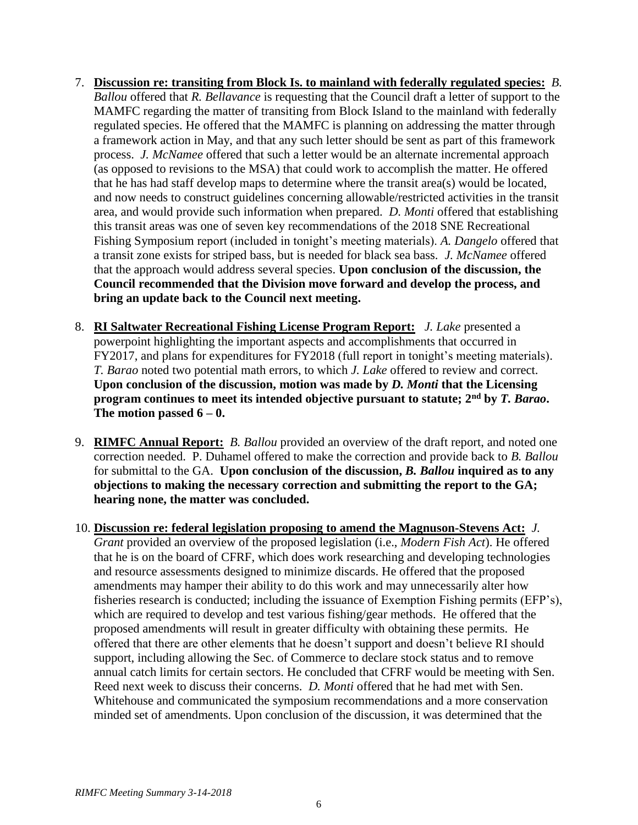- 7. **Discussion re: transiting from Block Is. to mainland with federally regulated species:** *B. Ballou* offered that *R. Bellavance* is requesting that the Council draft a letter of support to the MAMFC regarding the matter of transiting from Block Island to the mainland with federally regulated species. He offered that the MAMFC is planning on addressing the matter through a framework action in May, and that any such letter should be sent as part of this framework process. *J. McNamee* offered that such a letter would be an alternate incremental approach (as opposed to revisions to the MSA) that could work to accomplish the matter. He offered that he has had staff develop maps to determine where the transit area(s) would be located, and now needs to construct guidelines concerning allowable/restricted activities in the transit area, and would provide such information when prepared. *D. Monti* offered that establishing this transit areas was one of seven key recommendations of the 2018 SNE Recreational Fishing Symposium report (included in tonight's meeting materials). *A. Dangelo* offered that a transit zone exists for striped bass, but is needed for black sea bass. *J. McNamee* offered that the approach would address several species. **Upon conclusion of the discussion, the Council recommended that the Division move forward and develop the process, and bring an update back to the Council next meeting.**
- 8. **RI Saltwater Recreational Fishing License Program Report:** *J. Lake* presented a powerpoint highlighting the important aspects and accomplishments that occurred in FY2017, and plans for expenditures for FY2018 (full report in tonight's meeting materials). *T. Barao* noted two potential math errors, to which *J. Lake* offered to review and correct. **Upon conclusion of the discussion, motion was made by** *D. Monti* **that the Licensing program continues to meet its intended objective pursuant to statute; 2nd by** *T. Barao***. The motion passed 6 – 0.**
- 9. **RIMFC Annual Report:** *B. Ballou* provided an overview of the draft report, and noted one correction needed. P. Duhamel offered to make the correction and provide back to *B. Ballou* for submittal to the GA. **Upon conclusion of the discussion,** *B. Ballou* **inquired as to any objections to making the necessary correction and submitting the report to the GA; hearing none, the matter was concluded.**
- 10. **Discussion re: federal legislation proposing to amend the Magnuson-Stevens Act:** *J. Grant* provided an overview of the proposed legislation (i.e., *Modern Fish Act*). He offered that he is on the board of CFRF, which does work researching and developing technologies and resource assessments designed to minimize discards. He offered that the proposed amendments may hamper their ability to do this work and may unnecessarily alter how fisheries research is conducted; including the issuance of Exemption Fishing permits (EFP's), which are required to develop and test various fishing/gear methods. He offered that the proposed amendments will result in greater difficulty with obtaining these permits. He offered that there are other elements that he doesn't support and doesn't believe RI should support, including allowing the Sec. of Commerce to declare stock status and to remove annual catch limits for certain sectors. He concluded that CFRF would be meeting with Sen. Reed next week to discuss their concerns. *D. Monti* offered that he had met with Sen. Whitehouse and communicated the symposium recommendations and a more conservation minded set of amendments. Upon conclusion of the discussion, it was determined that the